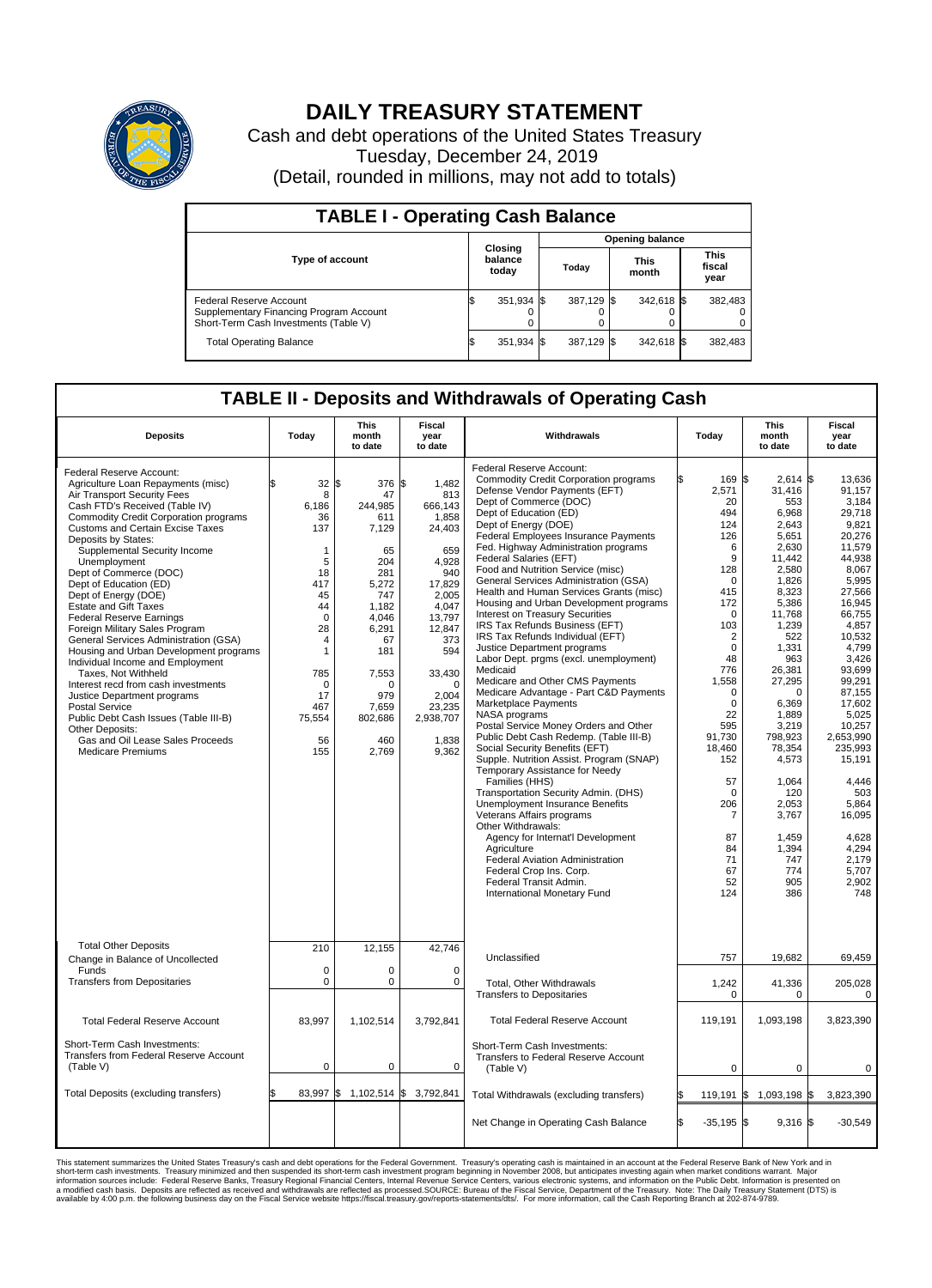

## **DAILY TREASURY STATEMENT**

Cash and debt operations of the United States Treasury Tuesday, December 24, 2019 (Detail, rounded in millions, may not add to totals)

| <b>TABLE I - Operating Cash Balance</b>                                                                     |                             |            |                        |            |                      |            |                               |         |  |  |
|-------------------------------------------------------------------------------------------------------------|-----------------------------|------------|------------------------|------------|----------------------|------------|-------------------------------|---------|--|--|
|                                                                                                             | Closing<br>balance<br>today |            | <b>Opening balance</b> |            |                      |            |                               |         |  |  |
| Type of account                                                                                             |                             |            | Today                  |            | <b>This</b><br>month |            | <b>This</b><br>fiscal<br>year |         |  |  |
| Federal Reserve Account<br>Supplementary Financing Program Account<br>Short-Term Cash Investments (Table V) |                             | 351,934 \$ |                        | 387.129 \$ |                      | 342,618 \$ |                               | 382,483 |  |  |
| <b>Total Operating Balance</b>                                                                              | ß.                          | 351,934 \$ |                        | 387,129 \$ |                      | 342,618 \$ |                               | 382,483 |  |  |

## **TABLE II - Deposits and Withdrawals of Operating Cash**

| <b>Deposits</b>                                                                                                                                                                                                                                                                                                                                                                                                                                                                                                                                                                                                                                                                                                                                                                                                                                                    | Today                                                                                                                                                                                   | <b>This</b><br>month<br>to date                                                                                                                                                     | <b>Fiscal</b><br>year<br>to date                                                                                                                                                                           | Withdrawals                                                                                                                                                                                                                                                                                                                                                                                                                                                                                                                                                                                                                                                                                                                                                                                                                                                                                                                                                                                                                                                                                                                                                                                                                                                                                                                 | Today                                                                                                                                                                                                                                                                                                 | <b>This</b><br>month<br>to date                                                                                                                                                                                                                                                                                           | <b>Fiscal</b><br>year<br>to date                                                                                                                                                                                                                                                                                                                    |
|--------------------------------------------------------------------------------------------------------------------------------------------------------------------------------------------------------------------------------------------------------------------------------------------------------------------------------------------------------------------------------------------------------------------------------------------------------------------------------------------------------------------------------------------------------------------------------------------------------------------------------------------------------------------------------------------------------------------------------------------------------------------------------------------------------------------------------------------------------------------|-----------------------------------------------------------------------------------------------------------------------------------------------------------------------------------------|-------------------------------------------------------------------------------------------------------------------------------------------------------------------------------------|------------------------------------------------------------------------------------------------------------------------------------------------------------------------------------------------------------|-----------------------------------------------------------------------------------------------------------------------------------------------------------------------------------------------------------------------------------------------------------------------------------------------------------------------------------------------------------------------------------------------------------------------------------------------------------------------------------------------------------------------------------------------------------------------------------------------------------------------------------------------------------------------------------------------------------------------------------------------------------------------------------------------------------------------------------------------------------------------------------------------------------------------------------------------------------------------------------------------------------------------------------------------------------------------------------------------------------------------------------------------------------------------------------------------------------------------------------------------------------------------------------------------------------------------------|-------------------------------------------------------------------------------------------------------------------------------------------------------------------------------------------------------------------------------------------------------------------------------------------------------|---------------------------------------------------------------------------------------------------------------------------------------------------------------------------------------------------------------------------------------------------------------------------------------------------------------------------|-----------------------------------------------------------------------------------------------------------------------------------------------------------------------------------------------------------------------------------------------------------------------------------------------------------------------------------------------------|
| Federal Reserve Account:<br>Agriculture Loan Repayments (misc)<br>Air Transport Security Fees<br>Cash FTD's Received (Table IV)<br><b>Commodity Credit Corporation programs</b><br><b>Customs and Certain Excise Taxes</b><br>Deposits by States:<br>Supplemental Security Income<br>Unemployment<br>Dept of Commerce (DOC)<br>Dept of Education (ED)<br>Dept of Energy (DOE)<br><b>Estate and Gift Taxes</b><br><b>Federal Reserve Earnings</b><br>Foreign Military Sales Program<br>General Services Administration (GSA)<br>Housing and Urban Development programs<br>Individual Income and Employment<br>Taxes, Not Withheld<br>Interest recd from cash investments<br>Justice Department programs<br><b>Postal Service</b><br>Public Debt Cash Issues (Table III-B)<br><b>Other Deposits:</b><br>Gas and Oil Lease Sales Proceeds<br><b>Medicare Premiums</b> | ዼ<br>32<br>8<br>6.186<br>36<br>137<br>$\mathbf{1}$<br>5<br>18<br>417<br>45<br>44<br>$\mathbf 0$<br>28<br>$\overline{4}$<br>$\mathbf{1}$<br>785<br>0<br>17<br>467<br>75,554<br>56<br>155 | l\$<br>376 \$<br>47<br>244.985<br>611<br>7,129<br>65<br>204<br>281<br>5.272<br>747<br>1,182<br>4,046<br>6.291<br>67<br>181<br>7,553<br>0<br>979<br>7.659<br>802,686<br>460<br>2,769 | 1,482<br>813<br>666.143<br>1,858<br>24,403<br>659<br>4,928<br>940<br>17.829<br>2,005<br>4,047<br>13,797<br>12,847<br>373<br>594<br>33,430<br>$\mathbf 0$<br>2,004<br>23,235<br>2,938,707<br>1,838<br>9,362 | Federal Reserve Account:<br><b>Commodity Credit Corporation programs</b><br>Defense Vendor Payments (EFT)<br>Dept of Commerce (DOC)<br>Dept of Education (ED)<br>Dept of Energy (DOE)<br><b>Federal Employees Insurance Payments</b><br>Fed. Highway Administration programs<br>Federal Salaries (EFT)<br>Food and Nutrition Service (misc)<br>General Services Administration (GSA)<br>Health and Human Services Grants (misc)<br>Housing and Urban Development programs<br>Interest on Treasury Securities<br>IRS Tax Refunds Business (EFT)<br>IRS Tax Refunds Individual (EFT)<br>Justice Department programs<br>Labor Dept. prgms (excl. unemployment)<br>Medicaid<br>Medicare and Other CMS Payments<br>Medicare Advantage - Part C&D Payments<br>Marketplace Payments<br>NASA programs<br>Postal Service Money Orders and Other<br>Public Debt Cash Redemp. (Table III-B)<br>Social Security Benefits (EFT)<br>Supple. Nutrition Assist. Program (SNAP)<br>Temporary Assistance for Needy<br>Families (HHS)<br>Transportation Security Admin. (DHS)<br>Unemployment Insurance Benefits<br>Veterans Affairs programs<br>Other Withdrawals:<br>Agency for Internat'l Development<br>Agriculture<br>Federal Aviation Administration<br>Federal Crop Ins. Corp.<br>Federal Transit Admin.<br>International Monetary Fund | 169 \$<br>2,571<br>20<br>494<br>124<br>126<br>6<br>9<br>128<br>0<br>415<br>172<br>$\mathbf 0$<br>103<br>$\overline{2}$<br>$\mathbf 0$<br>48<br>776<br>1,558<br>$\mathbf 0$<br>$\mathbf{0}$<br>22<br>595<br>91.730<br>18.460<br>152<br>57<br>$\Omega$<br>206<br>7<br>87<br>84<br>71<br>67<br>52<br>124 | $2,614$ \$<br>31,416<br>553<br>6,968<br>2,643<br>5,651<br>2,630<br>11,442<br>2,580<br>1,826<br>8.323<br>5,386<br>11,768<br>1,239<br>522<br>1,331<br>963<br>26,381<br>27,295<br>0<br>6,369<br>1.889<br>3,219<br>798,923<br>78,354<br>4,573<br>1,064<br>120<br>2,053<br>3,767<br>1,459<br>1,394<br>747<br>774<br>905<br>386 | 13,636<br>91,157<br>3,184<br>29.718<br>9.821<br>20,276<br>11,579<br>44.938<br>8,067<br>5,995<br>27.566<br>16,945<br>66,755<br>4,857<br>10.532<br>4,799<br>3,426<br>93,699<br>99,291<br>87,155<br>17,602<br>5,025<br>10,257<br>2,653,990<br>235,993<br>15,191<br>4.446<br>503<br>5,864<br>16,095<br>4,628<br>4,294<br>2,179<br>5.707<br>2,902<br>748 |
| <b>Total Other Deposits</b><br>Change in Balance of Uncollected                                                                                                                                                                                                                                                                                                                                                                                                                                                                                                                                                                                                                                                                                                                                                                                                    | 210                                                                                                                                                                                     | 12,155                                                                                                                                                                              | 42,746                                                                                                                                                                                                     | Unclassified                                                                                                                                                                                                                                                                                                                                                                                                                                                                                                                                                                                                                                                                                                                                                                                                                                                                                                                                                                                                                                                                                                                                                                                                                                                                                                                | 757                                                                                                                                                                                                                                                                                                   | 19,682                                                                                                                                                                                                                                                                                                                    | 69.459                                                                                                                                                                                                                                                                                                                                              |
| Funds<br><b>Transfers from Depositaries</b>                                                                                                                                                                                                                                                                                                                                                                                                                                                                                                                                                                                                                                                                                                                                                                                                                        | $\mathbf 0$<br>$\mathbf 0$                                                                                                                                                              | 0<br>0                                                                                                                                                                              | $\mathbf 0$<br>$\mathbf 0$                                                                                                                                                                                 | Total, Other Withdrawals<br><b>Transfers to Depositaries</b>                                                                                                                                                                                                                                                                                                                                                                                                                                                                                                                                                                                                                                                                                                                                                                                                                                                                                                                                                                                                                                                                                                                                                                                                                                                                | 1,242<br>0                                                                                                                                                                                                                                                                                            | 41,336<br>0                                                                                                                                                                                                                                                                                                               | 205,028<br>$\mathbf 0$                                                                                                                                                                                                                                                                                                                              |
| <b>Total Federal Reserve Account</b>                                                                                                                                                                                                                                                                                                                                                                                                                                                                                                                                                                                                                                                                                                                                                                                                                               | 83,997                                                                                                                                                                                  | 1,102,514                                                                                                                                                                           | 3,792,841                                                                                                                                                                                                  | <b>Total Federal Reserve Account</b>                                                                                                                                                                                                                                                                                                                                                                                                                                                                                                                                                                                                                                                                                                                                                                                                                                                                                                                                                                                                                                                                                                                                                                                                                                                                                        | 119,191                                                                                                                                                                                                                                                                                               | 1,093,198                                                                                                                                                                                                                                                                                                                 | 3,823,390                                                                                                                                                                                                                                                                                                                                           |
| Short-Term Cash Investments:<br>Transfers from Federal Reserve Account<br>(Table V)                                                                                                                                                                                                                                                                                                                                                                                                                                                                                                                                                                                                                                                                                                                                                                                | $\mathbf 0$                                                                                                                                                                             | $\mathbf 0$                                                                                                                                                                         | $\mathbf 0$                                                                                                                                                                                                | Short-Term Cash Investments:<br>Transfers to Federal Reserve Account<br>(Table V)                                                                                                                                                                                                                                                                                                                                                                                                                                                                                                                                                                                                                                                                                                                                                                                                                                                                                                                                                                                                                                                                                                                                                                                                                                           | $\mathbf 0$                                                                                                                                                                                                                                                                                           | $\mathbf 0$                                                                                                                                                                                                                                                                                                               | $\Omega$                                                                                                                                                                                                                                                                                                                                            |
| Total Deposits (excluding transfers)                                                                                                                                                                                                                                                                                                                                                                                                                                                                                                                                                                                                                                                                                                                                                                                                                               | 83,997 \$                                                                                                                                                                               | 1,102,514 \$                                                                                                                                                                        | 3,792,841                                                                                                                                                                                                  | Total Withdrawals (excluding transfers)                                                                                                                                                                                                                                                                                                                                                                                                                                                                                                                                                                                                                                                                                                                                                                                                                                                                                                                                                                                                                                                                                                                                                                                                                                                                                     | 119,191                                                                                                                                                                                                                                                                                               | 1,093,198 \$<br><b>S</b>                                                                                                                                                                                                                                                                                                  | 3,823,390                                                                                                                                                                                                                                                                                                                                           |
|                                                                                                                                                                                                                                                                                                                                                                                                                                                                                                                                                                                                                                                                                                                                                                                                                                                                    |                                                                                                                                                                                         |                                                                                                                                                                                     |                                                                                                                                                                                                            | Net Change in Operating Cash Balance                                                                                                                                                                                                                                                                                                                                                                                                                                                                                                                                                                                                                                                                                                                                                                                                                                                                                                                                                                                                                                                                                                                                                                                                                                                                                        | ß.<br>$-35.195$ \$                                                                                                                                                                                                                                                                                    | $9.316$ \$                                                                                                                                                                                                                                                                                                                | $-30.549$                                                                                                                                                                                                                                                                                                                                           |

This statement summarizes the United States Treasury's cash and debt operations for the Federal Government. Treasury soperating in November 2008, but anticiarded in a cocount at the Federal metaformation sources investment